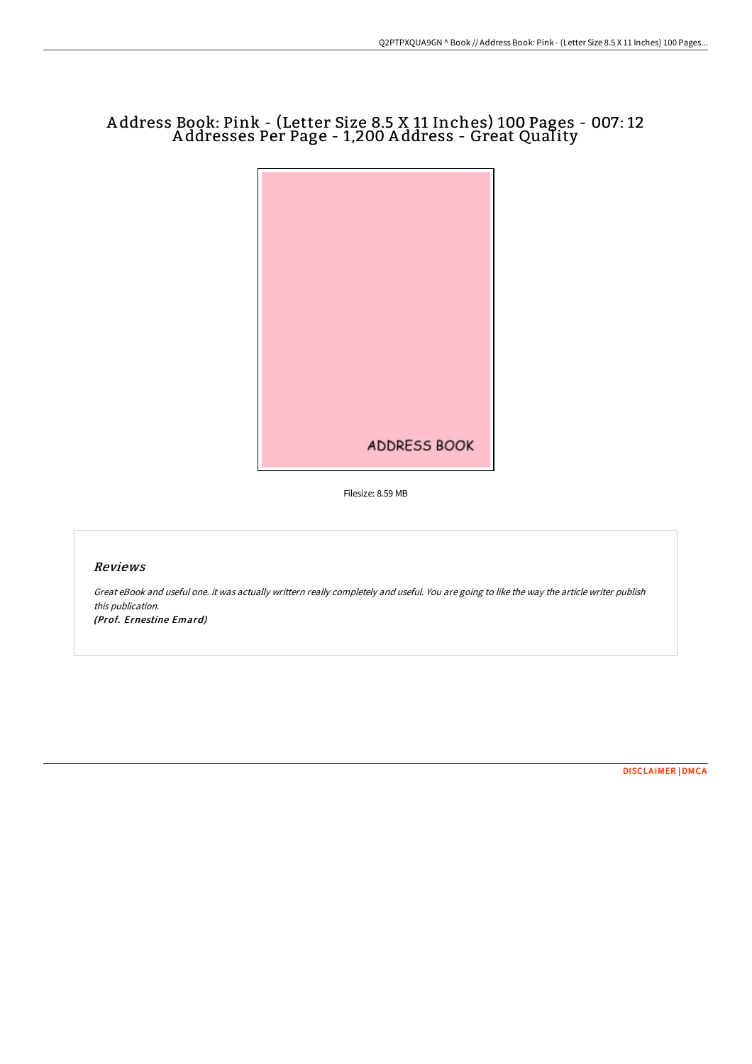# A ddress Book: Pink - (Letter Size 8.5 X 11 Inches) 100 Pages - 007: 12 A ddresses Per Page - 1,200 A ddress - Great Quality



Filesize: 8.59 MB

## Reviews

Great eBook and useful one. it was actually writtern really completely and useful. You are going to like the way the article writer publish this publication. (Prof. Ernestine Emard)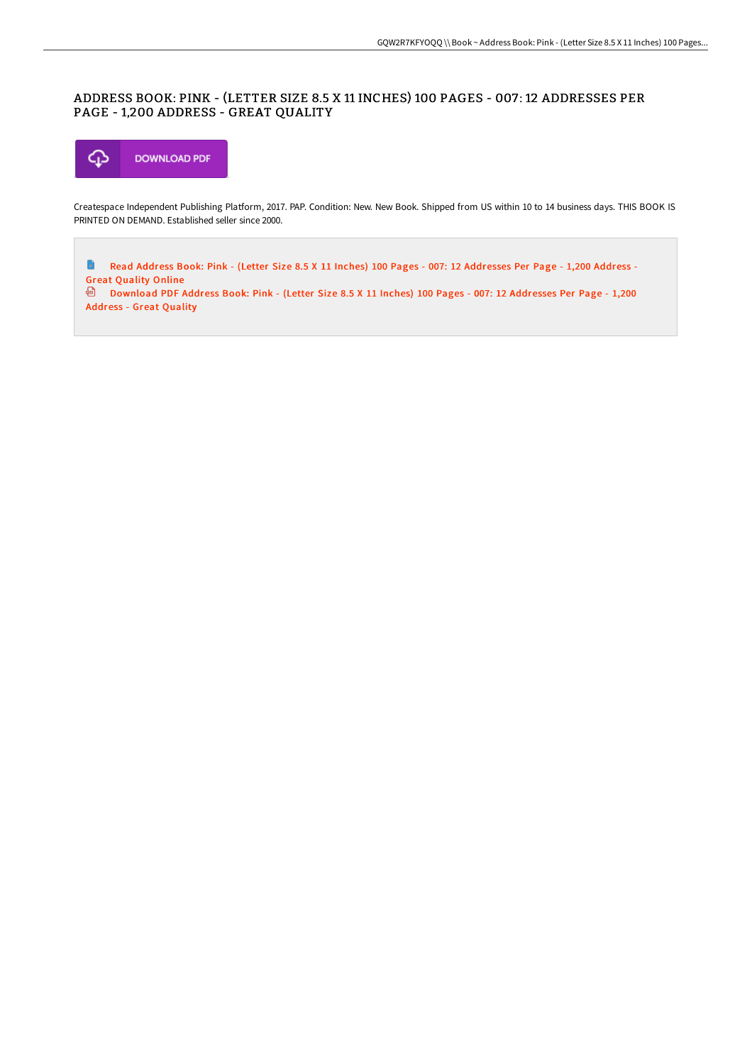## ADDRESS BOOK: PINK - (LETTER SIZE 8.5 X 11 INCHES) 100 PAGES - 007 : 12 ADDRESSES PER PAGE - 1,200 ADDRESS - GREAT QUALITY



Createspace Independent Publishing Platform, 2017. PAP. Condition: New. New Book. Shipped from US within 10 to 14 business days. THIS BOOK IS PRINTED ON DEMAND. Established seller since 2000.

 $\Rightarrow$ Read Address Book: Pink - (Letter Size 8.5 X 11 Inches) 100 Pages - 007: 12 [Addresses](http://albedo.media/address-book-pink-letter-size-8-5-x-11-inches-10.html) Per Page - 1,200 Address - Great Quality Online

[Download](http://albedo.media/address-book-pink-letter-size-8-5-x-11-inches-10.html) PDF Address Book: Pink - (Letter Size 8.5 X 11 Inches) 100 Pages - 007: 12 Addresses Per Page - 1,200 Address - Great Quality